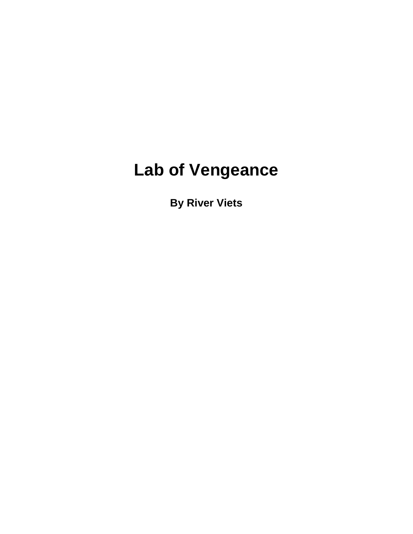# **Lab of Vengeance**

**By River Viets**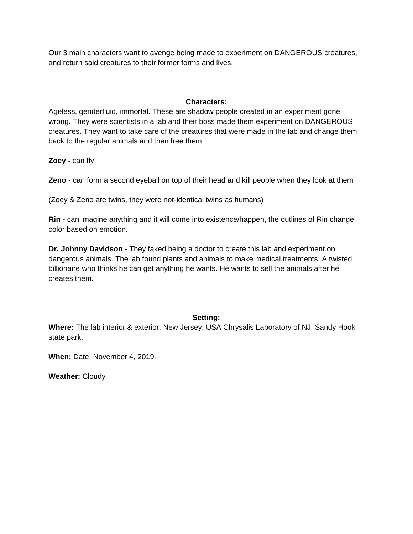Our 3 main characters want to avenge being made to experiment on DANGEROUS creatures, and return said creatures to their former forms and lives.

## **Characters:**

Ageless, genderfluid, immortal. These are shadow people created in an experiment gone wrong. They were scientists in a lab and their boss made them experiment on DANGEROUS creatures. They want to take care of the creatures that were made in the lab and change them back to the regular animals and then free them.

**Zoey -** can fly

**Zeno** - can form a second eyeball on top of their head and kill people when they look at them

(Zoey & Zeno are twins, they were not-identical twins as humans)

**Rin -** can imagine anything and it will come into existence/happen, the outlines of Rin change color based on emotion.

**Dr. Johnny Davidson -** They faked being a doctor to create this lab and experiment on dangerous animals. The lab found plants and animals to make medical treatments. A twisted billionaire who thinks he can get anything he wants. He wants to sell the animals after he creates them.

## **Setting:**

**Where:** The lab interior & exterior, New Jersey, USA Chrysalis Laboratory of NJ, Sandy Hook state park.

**When:** Date: November 4, 2019.

**Weather:** Cloudy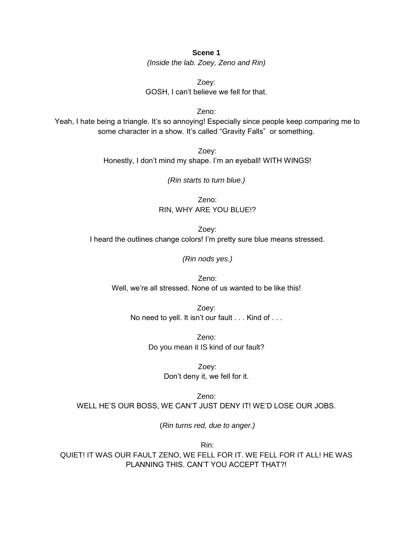**Scene 1** *(Inside the lab. Zoey, Zeno and Rin)*

Zoey: GOSH, I can't believe we fell for that.

Zeno: Yeah, I hate being a triangle. It's so annoying! Especially since people keep comparing me to some character in a show. It's called "Gravity Falls" or something.

> Zoey: Honestly, I don't mind my shape. I'm an eyeball! WITH WINGS!

> > *(Rin starts to turn blue.)*

Zeno: RIN, WHY ARE YOU BLUE!?

Zoey: I heard the outlines change colors! I'm pretty sure blue means stressed.

*(Rin nods yes*.*)*

Zeno: Well, we're all stressed. None of us wanted to be like this!

Zoey: No need to yell. It isn't our fault . . . Kind of . . .

> Zeno: Do you mean it IS kind of our fault?

> > Zoey: Don't deny it, we fell for it.

Zeno: WELL HE'S OUR BOSS, WE CAN'T JUST DENY IT! WE'D LOSE OUR JOBS.

(*Rin turns red, due to anger.)*

Rin: QUIET! IT WAS OUR FAULT ZENO, WE FELL FOR IT. WE FELL FOR IT ALL! HE WAS PLANNING THIS. CAN'T YOU ACCEPT THAT?!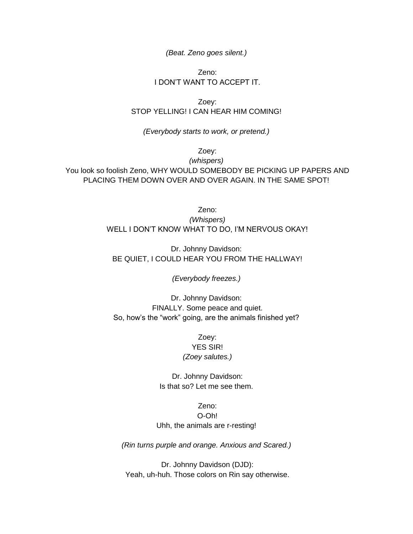*(Beat. Zeno goes silent.)*

# Zeno: I DON'T WANT TO ACCEPT IT.

Zoey: STOP YELLING! I CAN HEAR HIM COMING!

*(Everybody starts to work, or pretend.)*

Zoey:

*(whispers)* You look so foolish Zeno, WHY WOULD SOMEBODY BE PICKING UP PAPERS AND PLACING THEM DOWN OVER AND OVER AGAIN. IN THE SAME SPOT!

> Zeno: *(Whispers)* WELL I DON'T KNOW WHAT TO DO, I'M NERVOUS OKAY!

Dr. Johnny Davidson: BE QUIET, I COULD HEAR YOU FROM THE HALLWAY!

*(Everybody freezes.)*

Dr. Johnny Davidson: FINALLY. Some peace and quiet. So, how's the "work" going, are the animals finished yet?

> Zoey: YES SIR! *(Zoey salutes.)*

Dr. Johnny Davidson: Is that so? Let me see them.

# Zeno: O-Oh! Uhh, the animals are r-resting!

*(Rin turns purple and orange. Anxious and Scared.)*

Dr. Johnny Davidson (DJD): Yeah, uh-huh. Those colors on Rin say otherwise.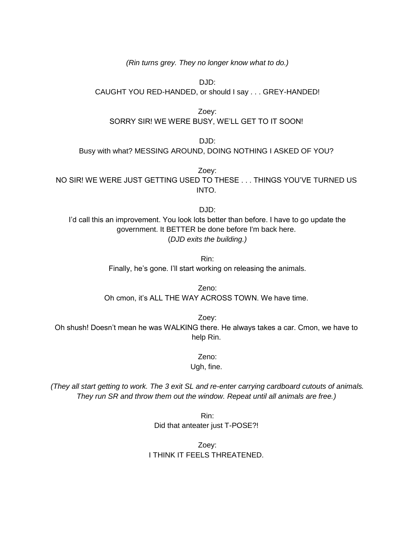*(Rin turns grey. They no longer know what to do.)*

DJD: CAUGHT YOU RED-HANDED, or should I say . . . GREY-HANDED!

Zoey: SORRY SIR! WE WERE BUSY, WE'LL GET TO IT SOON!

DJD: Busy with what? MESSING AROUND, DOING NOTHING I ASKED OF YOU?

Zoey: NO SIR! WE WERE JUST GETTING USED TO THESE . . . THINGS YOU'VE TURNED US INTO.

DJD: I'd call this an improvement. You look lots better than before. I have to go update the government. It BETTER be done before I'm back here. (*DJD exits the building.)*

> Rin: Finally, he's gone. I'll start working on releasing the animals.

Zeno: Oh cmon, it's ALL THE WAY ACROSS TOWN. We have time.

Zoey: Oh shush! Doesn't mean he was WALKING there. He always takes a car. Cmon, we have to help Rin.

> Zeno: Ugh, fine.

*(They all start getting to work. The 3 exit SL and re-enter carrying cardboard cutouts of animals. They run SR and throw them out the window. Repeat until all animals are free.)*

> Rin: Did that anteater just T-POSE?!

Zoey: I THINK IT FEELS THREATENED.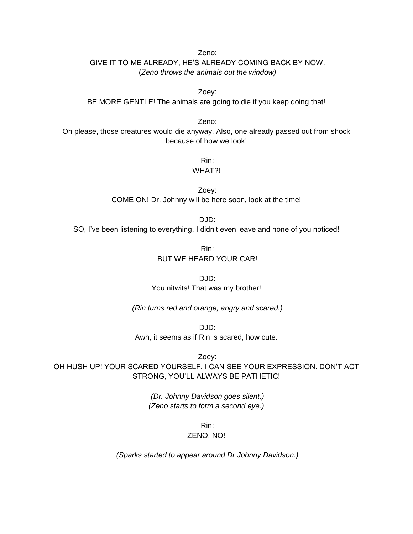Zeno: GIVE IT TO ME ALREADY, HE'S ALREADY COMING BACK BY NOW. (*Zeno throws the animals out the window)*

Zoey: BE MORE GENTLE! The animals are going to die if you keep doing that!

Zeno:

Oh please, those creatures would die anyway. Also, one already passed out from shock because of how we look!

Rin:

WHAT?!

Zoey: COME ON! Dr. Johnny will be here soon, look at the time!

 $DJD$ 

SO, I've been listening to everything. I didn't even leave and none of you noticed!

Rin: BUT WE HEARD YOUR CAR!

DJD: You nitwits! That was my brother!

*(Rin turns red and orange, angry and scared.)*

DJD: Awh, it seems as if Rin is scared, how cute.

Zoey: OH HUSH UP! YOUR SCARED YOURSELF, I CAN SEE YOUR EXPRESSION. DON'T ACT STRONG, YOU'LL ALWAYS BE PATHETIC!

> *(Dr. Johnny Davidson goes silent.) (Zeno starts to form a second eye.)*

> > Rin:

#### ZENO, NO!

*(Sparks started to appear around Dr Johnny Davidson.)*